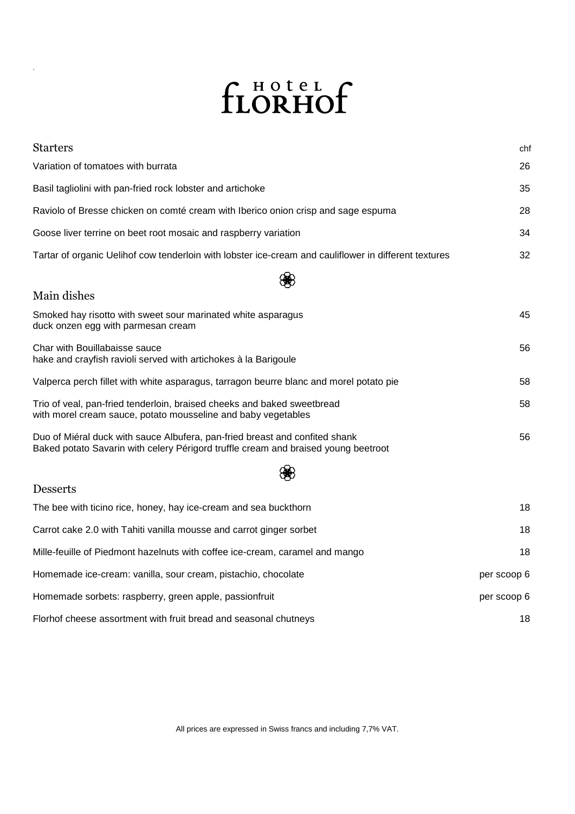## fLORHOf

,

| <b>Starters</b>                                                                                                                                                   | chf         |
|-------------------------------------------------------------------------------------------------------------------------------------------------------------------|-------------|
| Variation of tomatoes with burrata                                                                                                                                | 26          |
| Basil tagliolini with pan-fried rock lobster and artichoke                                                                                                        | 35          |
| Raviolo of Bresse chicken on comté cream with Iberico onion crisp and sage espuma                                                                                 | 28          |
| Goose liver terrine on beet root mosaic and raspberry variation                                                                                                   | 34          |
| Tartar of organic Uelihof cow tenderloin with lobster ice-cream and cauliflower in different textures                                                             | 32          |
|                                                                                                                                                                   |             |
| Main dishes                                                                                                                                                       |             |
| Smoked hay risotto with sweet sour marinated white asparagus<br>duck onzen egg with parmesan cream                                                                | 45          |
| Char with Bouillabaisse sauce<br>hake and crayfish ravioli served with artichokes à la Barigoule                                                                  | 56          |
| Valperca perch fillet with white asparagus, tarragon beurre blanc and morel potato pie                                                                            | 58          |
| Trio of veal, pan-fried tenderloin, braised cheeks and baked sweetbread<br>with morel cream sauce, potato mousseline and baby vegetables                          | 58          |
| Duo of Miéral duck with sauce Albufera, pan-fried breast and confited shank<br>Baked potato Savarin with celery Périgord truffle cream and braised young beetroot | 56          |
|                                                                                                                                                                   |             |
| <b>Desserts</b>                                                                                                                                                   |             |
| The bee with ticino rice, honey, hay ice-cream and sea buckthorn                                                                                                  | 18          |
| Carrot cake 2.0 with Tahiti vanilla mousse and carrot ginger sorbet                                                                                               | 18          |
| Mille-feuille of Piedmont hazelnuts with coffee ice-cream, caramel and mango                                                                                      | 18          |
| Homemade ice-cream: vanilla, sour cream, pistachio, chocolate                                                                                                     | per scoop 6 |
| Homemade sorbets: raspberry, green apple, passionfruit                                                                                                            | per scoop 6 |
| Florhof cheese assortment with fruit bread and seasonal chutneys                                                                                                  | 18          |

All prices are expressed in Swiss francs and including 7,7% VAT.